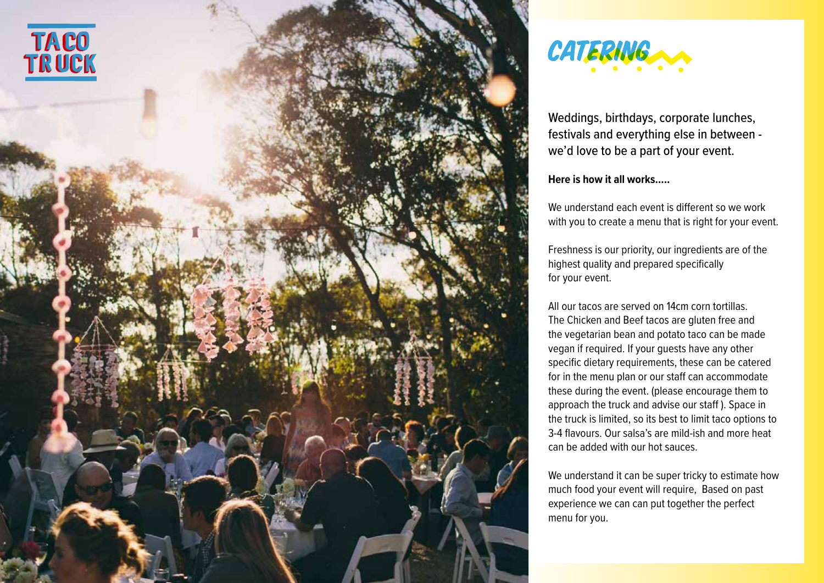



Weddings, birthdays, corporate lunches, festivals and everything else in between we'd love to be a part of your event.

#### **Here is how it all works…..**

We understand each event is different so we work with you to create a menu that is right for your event.

Freshness is our priority, our ingredients are of the highest quality and prepared specifically for your event.

All our tacos are served on 14cm corn tortillas. The Chicken and Beef tacos are gluten free and the vegetarian bean and potato taco can be made vegan if required. If your guests have any other specific dietary requirements, these can be catered for in the menu plan or our staff can accommodate these during the event. (please encourage them to approach the truck and advise our staff ). Space in the truck is limited, so its best to limit taco options to 3-4 flavours. Our salsa's are mild-ish and more heat can be added with our hot sauces.

We understand it can be super tricky to estimate how much food your event will require, Based on past experience we can can put together the perfect menu for you.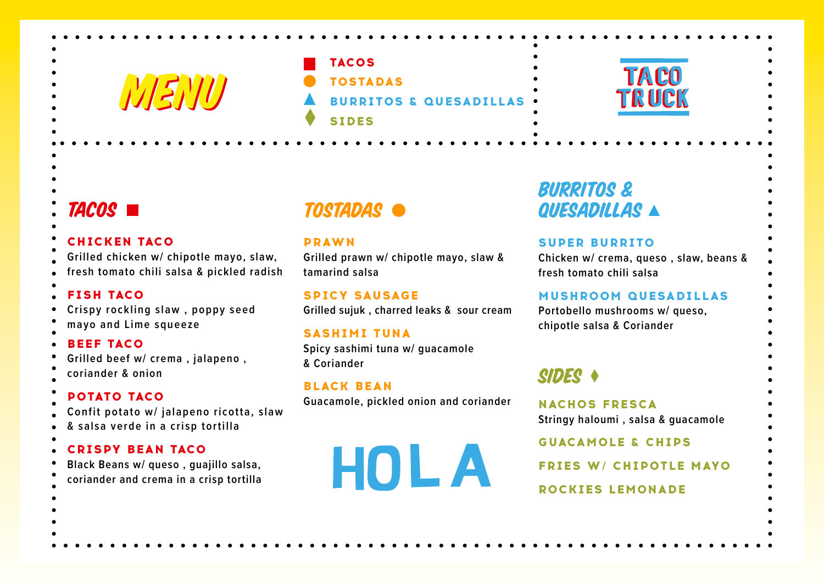

## **TACOS TOSTADAS BURRITOS & QUESADILLAS SIDES**



# TACOS **N**

## **CHICKEN TACO**

**Grilled chicken w/ chipotle mayo, slaw, fresh tomato chili salsa & pickled radish**

## **FISH TACO**

**Crispy rockling slaw , poppy seed mayo and Lime squeeze**

### **BEEF TACO**

**Grilled beef w/ crema , jalapeno , coriander & onion**

### **POTATO TACO**

- **Confit potato w/ jalapeno ricotta, slaw**
- **& salsa verde in a crisp tortilla**

#### **CRISPY BEAN TACO**

**Black Beans w/ queso , guajillo salsa, coriander and crema in a crisp tortilla**

# TOSTADAS <sup>O</sup>

### **PPAWN**

**Grilled prawn w/ chipotle mayo, slaw & tamarind salsa**

**SPICY SAUSAGE Grilled sujuk , charred leaks & sour cream**

#### **SASHIMI TUNA**

**Spicy sashimi tuna w/ guacamole & Coriander**

#### **BLACK BEAN**

**Guacamole, pickled onion and coriander NACHOS FRESCA** 

HOLA

## **BURRITOS &** QUESADILLAS A

### **SUPER BURRITO**

**Chicken w/ crema, queso , slaw, beans & fresh tomato chili salsa**

## **MUSHROOM QUESADILLAS**

**Portobello mushrooms w/ queso, chipotle salsa & Coriander** 

# SIDES +

**Stringy haloumi , salsa & guacamole**

**GUACAMOLE & CHIPS FRIES W/ CHIPOTLE MAYO ROCKIES LEMONADE**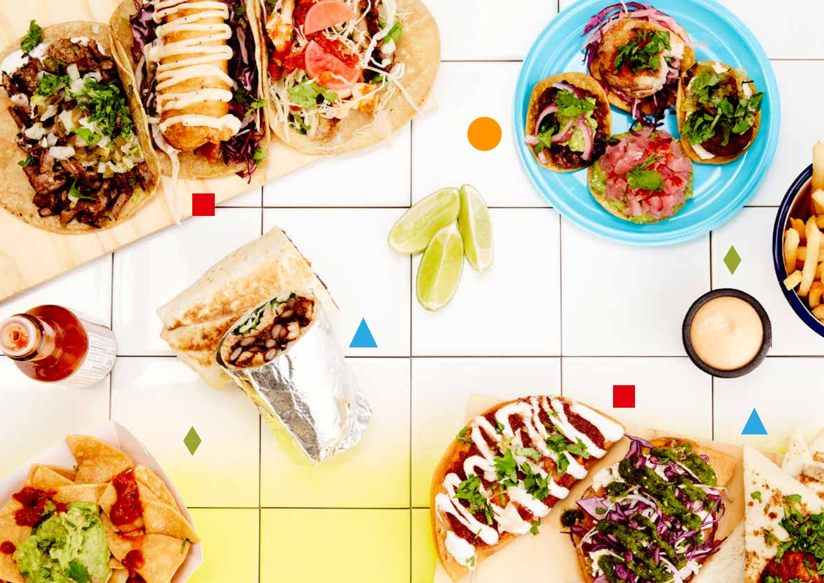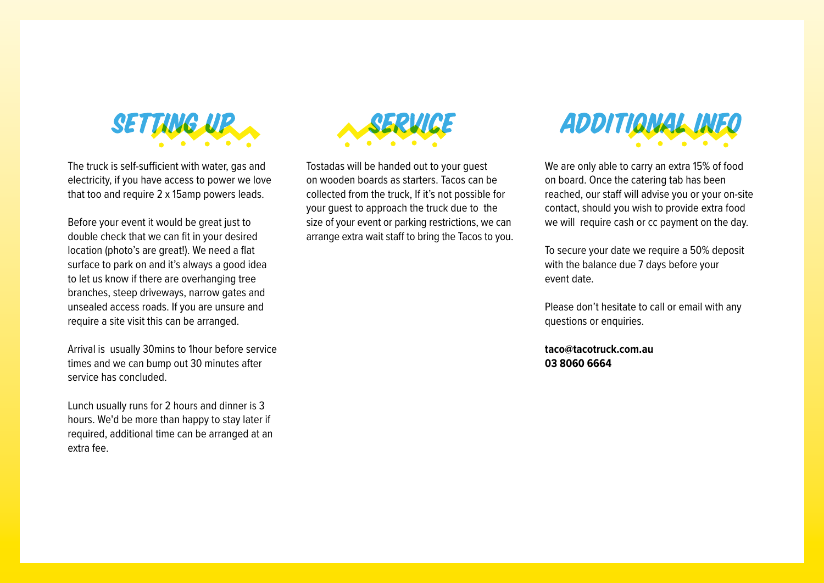

The truck is self-sufficient with water, gas and electricity, if you have access to power we love that too and require 2 x 15amp powers leads.

Before your event it would be great just to double check that we can fit in your desired location (photo's are great!). We need a flat surface to park on and it's always a good idea to let us know if there are overhanging tree branches, steep driveways, narrow gates and unsealed access roads. If you are unsure and require a site visit this can be arranged.

Arrival is usually 30mins to 1hour before service times and we can bump out 30 minutes after service has concluded.

Lunch usually runs for 2 hours and dinner is 3 hours. We'd be more than happy to stay later if required, additional time can be arranged at an extra fee.



Tostadas will be handed out to your guest on wooden boards as starters. Tacos can be collected from the truck, If it's not possible for your guest to approach the truck due to the size of your event or parking restrictions, we can arrange extra wait staff to bring the Tacos to you.



We are only able to carry an extra 15% of food on board. Once the catering tab has been reached, our staff will advise you or your on-site contact, should you wish to provide extra food we will require cash or cc payment on the day.

To secure your date we require a 50% deposit with the balance due 7 days before your event date.

Please don't hesitate to call or email with any questions or enquiries.

**taco@tacotruck.com.au 03 8060 6664**